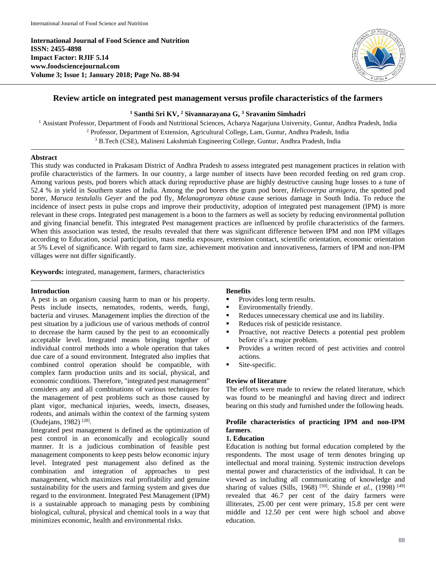**International Journal of Food Science and Nutrition ISSN: 2455-4898 Impact Factor: RJIF 5.14 www.foodsciencejournal.com Volume 3; Issue 1; January 2018; Page No. 88-94**



# **Review article on integrated pest management versus profile characteristics of the farmers**

## **<sup>1</sup> Santhi Sri KV, <sup>2</sup> Sivannarayana G, <sup>3</sup> Sravanim Simhadri**

<sup>1</sup> Assistant Professor, Department of Foods and Nutritional Sciences, Acharya Nagarjuna University, Guntur, Andhra Pradesh, India <sup>2</sup> Professor, Department of Extension, Agricultural College, Lam, Guntur, Andhra Pradesh, India <sup>3</sup> B.Tech (CSE), Malineni Lakshmiah Engineering College, Guntur, Andhra Pradesh, India

## **Abstract**

This study was conducted in Prakasam District of Andhra Pradesh to assess integrated pest management practices in relation with profile characteristics of the farmers. In our country, a large number of insects have been recorded feeding on red gram crop. Among various pests, pod borers which attack during reproductive phase are highly destructive causing huge losses to a tune of 52.4 % in yield in Southern states of India. Among the pod borers the gram pod borer, *Helicoverpa armigera*, the spotted pod borer, *Maruca testulalis Geyer* and the pod fly, *Melanagromyza obtuse* cause serious damage in South India. To reduce the incidence of insect pests in pulse crops and improve their productivity, adoption of integrated pest management (IPM) is more relevant in these crops. Integrated pest management is a boon to the farmers as well as society by reducing environmental pollution and giving financial benefit. This integrated Pest management practices are influenced by profile characteristics of the farmers. When this association was tested, the results revealed that there was significant difference between IPM and non IPM villages according to Education, social participation, mass media exposure, extension contact, scientific orientation, economic orientation at 5% Level of significance. With regard to farm size, achievement motivation and innovativeness, farmers of IPM and non-IPM villages were not differ significantly.

**Keywords:** integrated, management, farmers, characteristics

## **Introduction**

A pest is an organism causing harm to man or his property. Pests include insects, nematodes, rodents, weeds, fungi, bacteria and viruses. Management implies the direction of the pest situation by a judicious use of various methods of control to decrease the harm caused by the pest to an economically acceptable level. Integrated means bringing together of individual control methods into a whole operation that takes due care of a sound environment. Integrated also implies that combined control operation should be compatible, with complex farm production units and its social, physical, and economic conditions. Therefore, "integrated pest management" considers any and all combinations of various techniques for the management of pest problems such as those caused by plant vigor, mechanical injuries, weeds, insects, diseases, rodents, and animals within the context of the farming system (Oudejans, 1982)<sup>[28]</sup>.

Integrated pest management is defined as the optimization of pest control in an economically and ecologically sound manner. It is a judicious combination of feasible pest management components to keep pests below economic injury level. Integrated pest management also defined as the combination and integration of approaches to pest management, which maximizes real profitability and genuine sustainability for the users and farming system and gives due regard to the environment. Integrated Pest Management (IPM) is a sustainable approach to managing pests by combining biological, cultural, physical and chemical tools in a way that minimizes economic, health and environmental risks.

## **Benefits**

- Provides long term results.
- **Environmentally friendly.**
- Reduces unnecessary chemical use and its liability.
- Reduces risk of pesticide resistance.
- **Proactive, not reactive Detects a potential pest problem** before it's a major problem.
- Provides a written record of pest activities and control actions.
- Site-specific.

## **Review of literature**

The efforts were made to review the related literature, which was found to be meaningful and having direct and indirect bearing on this study and furnished under the following heads.

## **Profile characteristics of practicing IPM and non-IPM farmers**.

## **1. Education**

Education is nothing but formal education completed by the respondents. The most usage of term denotes bringing up intellectual and moral training. Systemic instruction develops mental power and characteristics of the individual. It can be viewed as including all communicating of knowledge and sharing of values (Sills, 1968)<sup>[50]</sup>. Shinde *et al.*, (1998)<sup>[49]</sup> revealed that 46.7 per cent of the dairy farmers were illiterates, 25.00 per cent were primary, 15.8 per cent were middle and 12.50 per cent were high school and above education.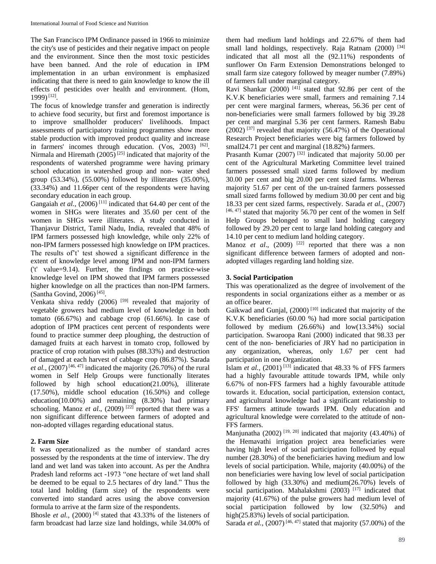The San Francisco IPM Ordinance passed in 1966 to minimize the city's use of pesticides and their negative impact on people and the environment. Since then the most toxic pesticides have been banned. And the role of education in IPM implementation in an urban environment is emphasized indicating that there is need to gain knowledge to know the ill effects of pesticides over health and environment. (Hom, 1999)<sup>[12]</sup>.

The focus of knowledge transfer and generation is indirectly to achieve food security, but first and foremost importance is to improve smallholder producers' livelihoods. Impact assessments of participatory training programmes show more stable production with improved product quality and increase in farmers' incomes through education. (Vos, 2003) [62]. Nirmala and Hiremath  $(2005)^{[25]}$  indicated that majority of the respondents of watershed programme were having primary school education in watershed group and non- water shed group (53.34%), (55.00%) followed by illiterates (35.00%), (33.34%) and 11.66per cent of the respondents were having secondary education in each group.

Gangaiah et al., (2006)<sup>[11]</sup> indicated that 64.40 per cent of the women in SHGs were literates and 35.60 per cent of the women in SHGs were illiterates. A study conducted in Thanjavur District, Tamil Nadu, India, revealed that 48% of IPM farmers possessed high knowledge, while only 22% of non-IPM farmers possessed high knowledge on IPM practices. The results of't' test showed a significant difference in the extent of knowledge level among IPM and non-IPM farmers ('t' value=9.14). Further, the findings on practice-wise knowledge level on IPM showed that IPM farmers possessed higher knowledge on all the practices than non-IPM farmers. (Santha Govind, 2006)<sup>[45]</sup>.

Venkata shiva reddy  $(2006)$ <sup>[59]</sup> revealed that majority of vegetable growers had medium level of knowledge in both tomato (66.67%) and cabbage crop (61.66%). In case of adoption of IPM practices cent percent of respondents were found to practice summer deep ploughing, the destruction of damaged fruits at each harvest in tomato crop, followed by practice of crop rotation with pulses (88.33%) and destruction of damaged at each harvest of cabbage crop (86.87%). Sarada *et al.*,  $(2007)^{[46, 47]}$  indicated the majority  $(26.70%)$  of the rural women in Self Help Groups were functionally literates followed by high school education(21.00%), illiterate (17.50%), middle school education (16.50%) and college education(10.00%) and remaining (8.30%) had primary schooling. Manoz et al., (2009)<sup>[22]</sup> reported that there was a non significant difference between farmers of adopted and non-adopted villages regarding educational status.

## **2. Farm Size**

It was operationalized as the number of standard acres possessed by the respondents at the time of interview. The dry land and wet land was taken into account. As per the Andhra Pradesh land reforms act -1973 "one hectare of wet land shall be deemed to be equal to 2.5 hectares of dry land." Thus the total land holding (farm size) of the respondents were converted into standard acres using the above conversion formula to arrive at the farm size of the respondents.

Bhosle *et al.*,  $(2000)$ <sup>[4]</sup> stated that 43.33% of the listeners of farm broadcast had larze size land holdings, while 34.00% of

them had medium land holdings and 22.67% of them had small land holdings, respectively. Raja Ratnam  $(2000)^{54}$ indicated that all most all the (92.11%) respondents of sunflower On Farm Extension Demonstrations belonged to small farm size category followed by meager number (7.89%) of farmers fall under marginal category.

Ravi Shankar (2000)<sup>[41]</sup> stated that 92.86 per cent of the K.V.K beneficiaries were small, farmers and remaining 7.14 per cent were marginal farmers, whereas, 56.36 per cent of non-beneficiaries were small farmers followed by big 39.28 per cent and marginal 5.36 per cent farmers. Ramesh Babu  $(2002)$ <sup>[37]</sup> revealed that majority  $(56.47%)$  of the Operational Research Project beneficiaries were big farmers followed by small24.71 per cent and marginal (18.82%) farmers.

Prasanth Kumar (2007)<sup>[32]</sup> indicated that majority 50.00 per cent of the Agricultural Marketing Committee level trained farmers possessed small sized farms followed by medium 30.00 per cent and big 20.00 per cent sized farms. Whereas majority 51.67 per cent of the un-trained farmers possessed small sized farms followed by medium 30.00 per cent and big 18.33 per cent sized farms, respectively. Sarada *et al.,* (2007) [46, 47] stated that majority 56.70 per cent of the women in Self Help Groups belonged to small land holding category followed by 29.20 per cent to large land holding category and 14.10 per cent to medium land holding category.

Manoz *et al.*,  $(2009)$ <sup>[22]</sup> reported that there was a non significant difference between farmers of adopted and nonadopted villages regarding land holding size.

## **3. Social Participation**

This was operationalized as the degree of involvement of the respondents in social organizations either as a member or as an office bearer.

Gaikwad and Gunjal, (2000)<sup>[10]</sup> indicated that majority of the K.V.K beneficiaries (60.00 %) had more social participation followed by medium (26.66%) and low(13.34%) social participation. Swaroopa Rani (2000) indicated that 98.33 per cent of the non- beneficiaries of JRY had no participation in any organization, whereas, only 1.67 per cent had participation in one Organization.

Islam *et al.*,  $(2001)$ <sup>[13]</sup> indicated that 48.33 % of FFS farmers had a highly favourable attitude towards IPM, while only 6.67% of non-FFS farmers had a highly favourable attitude towards it. Education, social participation, extension contact, and agricultural knowledge had a significant relationship to FFS' farmers attitude towards IPM. Only education and agricultural knowledge were correlated to the attitude of non-FFS farmers.

Manjunatha  $(2002)$ <sup>[19, 20]</sup> indicated that majority  $(43.40\%)$  of the Hemavathi irrigation project area beneficiaries were having high level of social participation followed by equal number (28.30%) of the beneficiaries having medium and low levels of social participation. While, majority (40.00%) of the non beneficiaries were having low level of social participation followed by high  $(33.30\%)$  and medium $(26.70\%)$  levels of social participation. Mahalakshmi  $(2003)$ <sup>[17]</sup> indicated that majority (41.67%) of the pulse growers had medium level of social participation followed by low (32.50%) and high(25.83%) levels of social participation.

Sarada *et al.*,  $(2007)^{[46, 47]}$  stated that majority  $(57.00\%)$  of the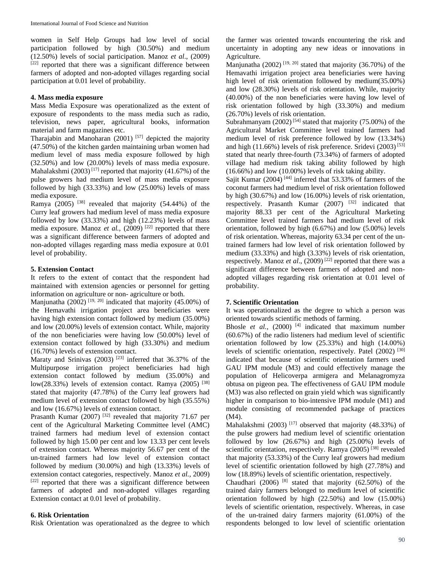women in Self Help Groups had low level of social participation followed by high (30.50%) and medium (12.50%) levels of social participation. Manoz *et al*., (2009) [22] reported that there was a significant difference between farmers of adopted and non-adopted villages regarding social participation at 0.01 level of probability.

#### **4. Mass media exposure**

Mass Media Exposure was operationalized as the extent of exposure of respondents to the mass media such as radio, television, news paper, agricultural books, information material and farm magazines etc.

Tharajabin and Manoharan  $(2001)$ <sup>[57]</sup> depicted the majority (47.50%) of the kitchen garden maintaining urban women had medium level of mass media exposure followed by high (32.50%) and low (20.00%) levels of mass media exposure. Mahalakshmi  $(2003)^{[17]}$  reported that majority (41.67%) of the pulse growers had medium level of mass media exposure followed by high (33.33%) and low (25.00%) levels of mass media exposure.

Ramya  $(2005)$ <sup>[38]</sup> revealed that majority  $(54.44%)$  of the Curry leaf growers had medium level of mass media exposure followed by low  $(33.33\%)$  and high  $(12.23\%)$  levels of mass media exposure. Manoz *et al.*, (2009)<sup>[22]</sup> reported that there was a significant difference between farmers of adopted and non-adopted villages regarding mass media exposure at 0.01 level of probability.

#### **5. Extension Contact**

It refers to the extent of contact that the respondent had maintained with extension agencies or personnel for getting information on agriculture or non- agriculture or both.

Manjunatha  $(2002)$ <sup>[19, 20]</sup> indicated that majority  $(45.00\%)$  of the Hemavathi irrigation project area beneficiaries were having high extension contact followed by medium (35.00%) and low (20.00%) levels of extension contact. While, majority of the non beneficiaries were having low (50.00%) level of extension contact followed by high (33.30%) and medium (16.70%) levels of extension contact.

Maraty and Srinivas  $(2003)$ <sup>[23]</sup> inferred that 36.37% of the Multipurpose irrigation project beneficiaries had high extension contact followed by medium (35.00%) and low(28.33%) levels of extension contact. Ramya (2005)  $^{[38]}$ stated that majority (47.78%) of the Curry leaf growers had medium level of extension contact followed by high (35.55%) and low (16.67%) levels of extension contact.

Prasanth Kumar (2007)<sup>[32]</sup> revealed that majority 71.67 per cent of the Agricultural Marketing Committee level (AMC) trained farmers had medium level of extension contact followed by high 15.00 per cent and low 13.33 per cent levels of extension contact. Whereas majority 56.67 per cent of the un-trained farmers had low level of extension contact followed by medium (30.00%) and high (13.33%) levels of extension contact categories, respectively. Manoz *et al.,* 2009) [22] reported that there was a significant difference between farmers of adopted and non-adopted villages regarding Extension contact at 0.01 level of probability.

## **6. Risk Orientation**

Risk Orientation was operationalzed as the degree to which

the farmer was oriented towards encountering the risk and uncertainty in adopting any new ideas or innovations in Agriculture.

Manjunatha  $(2002)$ <sup>[19, 20]</sup> stated that majority  $(36.70\%)$  of the Hemavathi irrigation project area beneficiaries were having high level of risk orientation followed by medium(35.00%) and low (28.30%) levels of risk orientation. While, majority (40.00%) of the non beneficiaries were having low level of risk orientation followed by high (33.30%) and medium (26.70%) levels of risk orientation.

Subrahmanyam  $(2002)^{54}$  stated that majority (75.00%) of the Agricultural Market Committee level trained farmers had medium level of risk preference followed by low (13.34%) and high  $(11.66\%)$  levels of risk preference. Sridevi  $(2003)^{53}$ stated that nearly three-fourth (73.34%) of farmers of adopted village had medium risk taking ability followed by high (16.66%) and low (10.00%) levels of risk taking ability.

Sajit Kumar (2004)<sup>[44]</sup> inferred that 53.33% of farmers of the coconut farmers had medium level of risk orientation followed by high (30.67%) and low (16.00%) levels of risk orientation, respectively. Prasanth Kumar  $(2007)$  <sup>[32]</sup> indicated that majority 88.33 per cent of the Agricultural Marketing Committee level trained farmers had medium level of risk orientation, followed by high (6.67%) and low (5.00%) levels of risk orientation. Whereas, majority 63.34 per cent of the untrained farmers had low level of risk orientation followed by medium (33.33%) and high (3.33%) levels of risk orientation, respectively. Manoz et al., (2009)<sup>[22]</sup> reported that there was a significant difference between farmers of adopted and nonadopted villages regarding risk orientation at 0.01 level of probability.

#### **7. Scientific Orientation**

It was operationalized as the degree to which a person was oriented towards scientific methods of farming.

Bhosle *et al.*, (2000)<sup>[4]</sup> indicated that maximum number (60.67%) of the radio listeners had medium level of scientific orientation followed by low (25.33%) and high (14.00%) levels of scientific orientation, respectively. Patel (2002) [30] indicated that because of scientific orientation farmers used GAU IPM module (M3) and could effectively manage the population of Helicoverpa armigera and Melanagromyza obtusa on pigeon pea. The effectiveness of GAU IPM module (M3) was also reflected on grain yield which was significantly higher in comparison to bio-intensive IPM module (M1) and module consisting of recommended package of practices (M4).

Mahalakshmi (2003)<sup>[17]</sup> observed that majority (48.33%) of the pulse growers had medium level of scientific orientation followed by low (26.67%) and high (25.00%) levels of scientific orientation, respectively. Ramya (2005)<sup>[38]</sup> revealed that majority (53.33%) of the Curry leaf growers had medium level of scientific orientation followed by high (27.78%) and low (18.89%) levels of scientific orientation, respectively.

Chaudhari  $(2006)$  <sup>[8]</sup> stated that majority  $(62.50%)$  of the trained dairy farmers belonged to medium level of scientific orientation followed by high (22.50%) and low (15.00%) levels of scientific orientation, respectively. Whereas, in case of the un-trained dairy farmers majority (61.00%) of the respondents belonged to low level of scientific orientation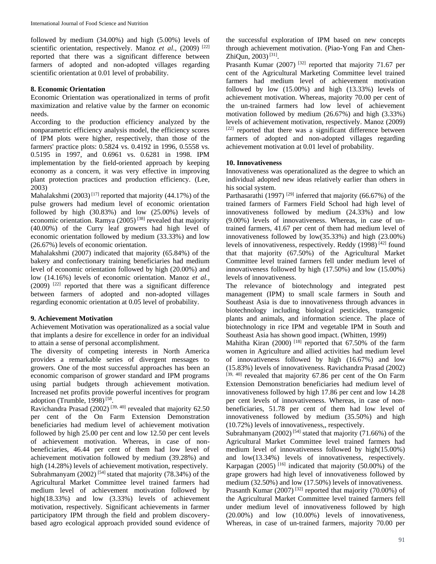followed by medium (34.00%) and high (5.00%) levels of scientific orientation, respectively. Manoz *et al.*, (2009)<sup>[22]</sup> reported that there was a significant difference between farmers of adopted and non-adopted villages regarding scientific orientation at 0.01 level of probability.

#### **8. Economic Orientation**

Economic Orientation was operationalized in terms of profit maximization and relative value by the farmer on economic needs.

According to the production efficiency analyzed by the nonparametric efficiency analysis model, the efficiency scores of IPM plots were higher, respectively, than those of the farmers' practice plots: 0.5824 vs. 0.4192 in 1996, 0.5558 vs. 0.5195 in 1997, and 0.6961 vs. 0.6281 in 1998. IPM implementation by the field-oriented approach by keeping economy as a concern, it was very effective in improving plant protection practices and production efficiency. (Lee, 2003)

Mahalakshmi  $(2003)^{[17]}$  reported that majority (44.17%) of the pulse growers had medium level of economic orientation followed by high (30.83%) and low (25.00%) levels of economic orientation. Ramya  $(2005)^{38}$  revealed that majority (40.00%) of the Curry leaf growers had high level of economic orientation followed by medium (33.33%) and low (26.67%) levels of economic orientation.

Mahalakshmi (2007) indicated that majority (65.84%) of the bakery and confectionary training beneficiaries had medium level of economic orientation followed by high (20.00%) and low (14.16%) levels of economic orientation. Manoz *et al.,*  $(2009)$ <sup>[22]</sup> reported that there was a significant difference between farmers of adopted and non-adopted villages regarding economic orientation at 0.05 level of probability.

## **9. Achievement Motivation**

Achievement Motivation was operationalized as a social value that implants a desire for excellence in order for an individual to attain a sense of personal accomplishment.

The diversity of competing interests in North America provides a remarkable series of divergent messages to growers. One of the most successful approaches has been an economic comparison of grower standard and IPM programs using partial budgets through achievement motivation. Increased net profits provide powerful incentives for program adoption (Trumble, 1998)<sup>[58</sup>.

Ravichandra Prasad (2002)<sup>[39, 40]</sup> revealed that majority 62.50 per cent of the On Farm Extension Demonstration beneficiaries had medium level of achievement motivation followed by high 25.00 per cent and low 12.50 per cent levels of achievement motivation. Whereas, in case of nonbeneficiaries, 46.44 per cent of them had low level of achievement motivation followed by medium (39.28%) and high (14.28%) levels of achievement motivation, respectively. Subrahmanyam  $(2002)^{54}$  stated that majority (78.34%) of the Agricultural Market Committee level trained farmers had medium level of achievement motivation followed by high(18.33%) and low (3.33%) levels of achievement motivation, respectively. Significant achievements in farmer participatory IPM through the field and problem discoverybased agro ecological approach provided sound evidence of

the successful exploration of IPM based on new concepts through achievement motivation. (Piao-Yong Fan and Chen-ZhiQun, 2003)<sup>[31]</sup>.

Prasanth Kumar (2007)<sup>[32]</sup> reported that majority 71.67 per cent of the Agricultural Marketing Committee level trained farmers had medium level of achievement motivation followed by low (15.00%) and high (13.33%) levels of achievement motivation. Whereas, majority 70.00 per cent of the un-trained farmers had low level of achievement motivation followed by medium (26.67%) and high (3.33%) levels of achievement motivation, respectively. Manoz (2009) [22] reported that there was a significant difference between farmers of adopted and non-adopted villages regarding achievement motivation at 0.01 level of probability.

#### **10. Innovativeness**

Innovativeness was operationalized as the degree to which an individual adopted new ideas relatively earlier than others in his social system.

Parthasarathi (1997)<sup>[29]</sup> inferred that majority (66.67%) of the trained farmers of Farmers Field School had high level of innovativeness followed by medium (24.33%) and low (9.00%) levels of innovativeness. Whereas, in case of untrained farmers, 41.67 per cent of them had medium level of innovativeness followed by low(35.33%) and high (23.00%) levels of innovativeness, respectively. Reddy (1998)<sup>[42]</sup> found that that majority (67.50%) of the Agricultural Market Committee level trained farmers fell under medium level of innovativeness followed by high (17.50%) and low (15.00%) levels of innovativeness.

The relevance of biotechnology and integrated pest management (IPM) to small scale farmers in South and Southeast Asia is due to innovativeness through advances in biotechnology including biological pesticides, transgenic plants and animals, and information science. The place of biotechnology in rice IPM and vegetable IPM in South and Southeast Asia has shown good impact. (Whitten, 1999)

Mahitha Kiran (2000)<sup>[18]</sup> reported that  $67.50\%$  of the farm women in Agriculture and allied activities had medium level of innovativeness followed by high (16.67%) and low (15.83%) levels of innovativeness. Ravichandra Prasad (2002) [39, 40] revealed that majority 67.86 per cent of the On Farm Extension Demonstration beneficiaries had medium level of innovativeness followed by high 17.86 per cent and low 14.28 per cent levels of innovativeness. Whereas, in case of nonbeneficiaries, 51.78 per cent of them had low level of innovativeness followed by medium (35.50%) and high (10.72%) levels of innovativeness,, respectively.

Subrahmanyam  $(2002)$ <sup>[54]</sup> stated that majority  $(71.66%)$  of the Agricultural Market Committee level trained farmers had medium level of innovativeness followed by high(15.00%) and low(13.34%) levels of innovativeness, respectively. Karpagan  $(2005)$ <sup>[16]</sup> indicated that majority  $(50.00\%)$  of the grape growers had high level of innovativeness followed by medium (32.50%) and low (17.50%) levels of innovativeness. Prasanth Kumar  $(2007)^{32}$  reported that majority (70.00%) of the Agricultural Market Committee level trained farmers fell under medium level of innovativeness followed by high (20.00%) and low (10.00%) levels of innovativeness, Whereas, in case of un-trained farmers, majority 70.00 per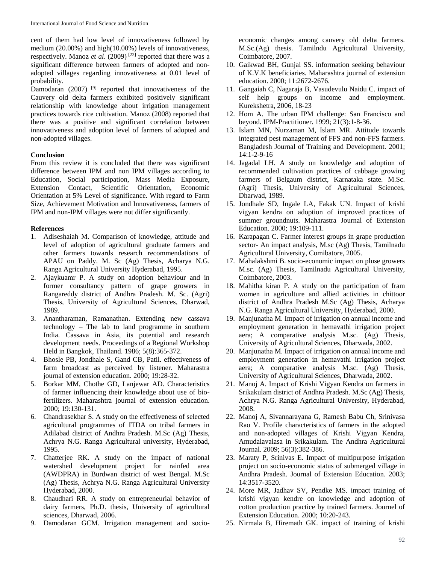cent of them had low level of innovativeness followed by medium (20.00%) and high(10.00%) levels of innovativeness, respectively. Manoz *et al*. (2009) [22] reported that there was a significant difference between farmers of adopted and nonadopted villages regarding innovativeness at 0.01 level of probability.

Damodaran (2007)<sup>[9]</sup> reported that innovativeness of the Cauvery old delta farmers exhibited positively significant relationship with knowledge about irrigation management practices towards rice cultivation. Manoz (2008) reported that there was a positive and significant correlation between innovativeness and adoption level of farmers of adopted and non-adopted villages.

## **Conclusion**

From this review it is concluded that there was significant difference between IPM and non IPM villages according to Education, Social participation, Mass Media Exposure, Extension Contact, Scientific Orientation, Economic Orientation at 5% Level of significance. With regard to Farm Size, Achievement Motivation and Innovativeness, farmers of IPM and non-IPM villages were not differ significantly.

## **References**

- 1. Adiseshaiah M. Comparison of knowledge, attitude and level of adoption of agricultural graduate farmers and other farmers towards research recommendations of APAU on Paddy. M. Sc (Ag) Thesis, Acharya N.G. Ranga Agricultural University Hyderabad, 1995.
- 2. Ajaykuamr P. A study on adoption behaviour and in former consultancy pattern of grape growers in Rangareddy district of Andhra Pradesh. M. Sc. (Agri) Thesis, University of Agricultural Sciences, Dharwad, 1989.
- 3. Anantharaman, Ramanathan. Extending new cassava technology – The lab to land programme in southern India. Cassava in Asia, its potential and research development needs. Proceedings of a Regional Workshop Held in Bangkok, Thailand. 1986; 5(8):365-372.
- 4. Bhosle PB, Jondhale S, Gand CB, Patil. effectiveness of farm broadcast as perceived by listener. Maharastra journal of extension education. 2000; 19:28-32.
- 5. Borkar MM, Chothe GD, Lanjewar AD. Characteristics of farmer influencing their knowledge about use of biofertilizers. Maharashtra journal of extension education. 2000; 19:130-131.
- 6. Chandrasekhar S. A study on the effectiveness of selected agricultural programmes of ITDA on tribal farmers in Adilabad district of Andhra Pradesh. M.Sc (Ag) Thesis, Achrya N.G. Ranga Agricultural university, Hyderabad, 1995.
- 7. Chatterjee RK. A study on the impact of national watershed development project for rainfed area (AWDPRA) in Burdwan district of west Bengal. M.Sc (Ag) Thesis, Achrya N.G. Ranga Agricultural University Hyderabad, 2000.
- 8. Chaudhari RR. A study on entrepreneurial behavior of dairy farmers, Ph.D. thesis, University of agricultural sciences, Dharwad, 2006.
- 9. Damodaran GCM. Irrigation management and socio-

economic changes among cauvery old delta farmers. M.Sc.(Ag) thesis. Tamilndu Agricultural University, Coimbatore, 2007.

- 10. Gaikwad BH, Gunjal SS. information seeking behaviour of K.V.K beneficiaries. Maharashtra journal of extension education. 2000; 11:2672-2676.
- 11. Gangaiah C, Nagaraja B, Vasudevulu Naidu C. impact of self help groups on income and employment. Kurekshetra, 2006, 18-23
- 12. Hom A. The urban IPM challenge: San Francisco and beyond. IPM-Practitioner. 1999; 21(3):1-8-36.
- 13. Islam MN, Nurzaman M, Islam MR. Attitude towards integrated pest management of FFS and non-FFS farmers. Bangladesh Journal of Training and Development. 2001; 14:1-2-9-16
- 14. Jagadal LH. A study on knowledge and adoption of recommended cultivation practices of cabbage growing farmers of Belgaum district, Karnataka state. M.Sc. (Agri) Thesis, University of Agricultural Sciences, Dharwad, 1989.
- 15. Jondhale SD, Ingale LA, Fakak UN. Impact of krishi vigyan kendra on adoption of improved practices of summer groundnuts. Maharastra Journal of Extension Education. 2000; 19:109-111.
- 16. Karapagan C. Farmer interest groups in grape production sector- An impact analysis, M.sc (Ag) Thesis, Tamilnadu Agricultural University, Comibatore, 2005.
- 17. Mahalakshmi B. socio-economic impact on pluse growers M.sc. (Ag) Thesis, Tamilnadu Agricultural University, Coimbatore, 2003.
- 18. Mahitha kiran P. A study on the participation of fram women in agriculture and allied activities in chittoor district of Andhra Pradesh M.Sc (Ag) Thesis, Acharya N.G. Ranga Agricultural University, Hyderabad, 2000.
- 19. Manjunatha M. Impact of irrigation on annual income and employment generation in hemavathi irrigation project aera; A comparative analysis M.sc. (Ag) Thesis, University of Agricultural Sciences, Dharwada, 2002.
- 20. Manjunatha M. Impact of irrigation on annual income and employment generation in hemavathi irrigation project aera; A comparative analysis M.sc. (Ag) Thesis, University of Agricultural Sciences, Dharwada, 2002.
- 21. Manoj A. Impact of Krishi Vigyan Kendra on farmers in Srikakulam district of Andhra Pradesh. M.Sc (Ag) Thesis, Achrya N.G. Ranga Agricultural University, Hyderabad, 2008.
- 22. Manoj A, Sivannarayana G, Ramesh Babu Ch, Srinivasa Rao V. Profile characteristics of farmers in the adopted and non-adopted villages of Krishi Vigyan Kendra, Amudalavalasa in Srikakulam. The Andhra Agricultural Journal. 2009; 56(3):382-386.
- 23. Maraty P, Srinivas E. Impact of multipurpose irrigation project on socio-economic status of submerged village in Andhra Pradesh. Journal of Extension Education. 2003; 14:3517-3520.
- 24. More MR, Jadhav SV, Pendke MS. impact training of krishi vigyan kendre on knowledge and adoption of cotton production practice by trained farmers. Journel of Extension Education. 2000; 10:20-243.
- 25. Nirmala B, Hiremath GK. impact of training of krishi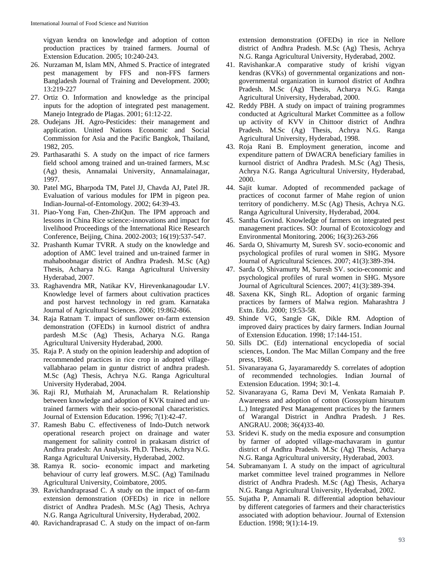vigyan kendra on knowledge and adoption of cotton production practices by trained farmers. Journal of Extension Education. 2005; 10:240-243.

- 26. Nurzaman M, Islam MN, Ahmed S. Practice of integrated pest management by FFS and non-FFS farmers Bangladesh Journal of Training and Development. 2000; 13:219-227
- 27. Ortiz O. Information and knowledge as the principal inputs for the adoption of integrated pest management. Manejo Integrado de Plagas. 2001; 61:12-22.
- 28. Oudejans JH. Agro-Pesticides: their management and application. United Nations Economic and Social Commission for Asia and the Pacific Bangkok, Thailand, 1982, 205.
- 29. Parthasarathi S. A study on the impact of rice farmers field school among trained and un-trained farmers, M.sc (Ag) thesis, Annamalai University, Annamalainagar, 1997.
- 30. Patel MG, Bharpoda TM, Patel JJ, Chavda AJ, Patel JR. Evaluation of various modules for IPM in pigeon pea. Indian-Journal-of-Entomology. 2002; 64:39-43.
- 31. Piao-Yong Fan, Chen-ZhiQun. The IPM approach and lessons in China Rice science:-innovations and impact for livelihood Proceedings of the International Rice Research Conference, Beijing, China. 2002-2003; 16(19):537-547.
- 32. Prashanth Kumar TVRR. A study on the knowledge and adoption of AMC level trained and un-trained farmer in mahaboobnagar district of Andhra Pradesh. M.Sc (Ag) Thesis, Acharya N.G. Ranga Agricultural University Hyderabad, 2007.
- 33. Raghavendra MR, Natikar KV, Hirevenkanagoudar LV. Knowledge level of farmers about cultivation practices and post harvest technology in red gram. Karnataka Journal of Agricultural Sciences. 2006; 19:862-866.
- 34. Raja Ratnam T. impact of sunflower on-farm extension demonstration (OFEDs) in kurnool district of andhra pardesh M.Sc (Ag) Thesis, Acharya N.G. Ranga Agricultural University Hyderabad, 2000.
- 35. Raja P. A study on the opinion leadership and adoption of recommended practices in rice crop in adopted villagevallabharao pelam in guntur district of andhra pradesh. M.Sc (Ag) Thesis, Achrya N.G. Ranga Agricultural University Hyderabad, 2004.
- 36. Raji RJ, Muthaiah M, Arunachalam R. Relationship between knowledge and adoption of KVK trained and untrained farmers with their socio-personal characteristics. Journal of Extension Education. 1996; 7(1):42-47.
- 37. Ramesh Babu C. effectiveness of Indo-Dutch network operational research project on drainage and water mangement for salinity control in prakasam district of Andhra pradesh: An Analysis. Ph.D. Thesis, Achrya N.G. Ranga Agricultural University, Hyderabad, 2002.
- 38. Ramya R. socio- economic impact and marketing behaviour of curry leaf growers. M.SC. (Ag) Tamilnadu Agricultural University, Coimbatore, 2005.
- 39. Ravichandraprasad C. A study on the impact of on-farm extension demonstration (OFEDs) in rice in nellore district of Andhra Pradesh. M.Sc (Ag) Thesis, Achrya N.G. Ranga Agricultural University, Hyderabad, 2002.
- 40. Ravichandraprasad C. A study on the impact of on-farm

extension demonstration (OFEDs) in rice in Nellore district of Andhra Pradesh. M.Sc (Ag) Thesis, Achrya N.G. Ranga Agricultural University, Hyderabad, 2002.

- 41. Ravishankar.A comparative study of krishi vigyan kendras (KVKs) of governmental organizations and nongovernmental organization in kurnool district of Andhra Pradesh. M.Sc (Ag) Thesis, Acharya N.G. Ranga Agricultural University, Hyderabad, 2000.
- 42. Reddy PBH. A study on impact of training programmes conducted at Agricultural Market Committee as a follow up activity of KVV in Chittoor district of Andhra Pradesh. M.Sc (Ag) Thesis, Achrya N.G. Ranga Agricultural University, Hyderabad, 1998.
- 43. Roja Rani B. Employment generation, income and expenditure pattern of DWACRA beneficiary families in kurnool district of Andhra Pradesh. M.Sc (Ag) Thesis, Achrya N.G. Ranga Agricultural University, Hyderabad, 2000.
- 44. Sajit kumar. Adopted of recommended package of practices of coconut farmer of Mahe region of union territory of pondicherry. M.Sc (Ag) Thesis, Achrya N.G. Ranga Agricultural University, Hyderabad, 2004.
- 45. Santha Govind. Knowledge of farmers on integrated pest management practices. SO: Journal of Ecotoxicology and Environmental Monitoring. 2006; 16(3):263-266
- 46. Sarda O, Shivamurty M, Suresh SV. socio-economic and psychological profiles of rural women in SHG. Mysore Journal of Agricultural Sciences. 2007; 41(3):389-394.
- 47. Sarda O, Shivamurty M, Suresh SV. socio-economic and psychological profiles of rural women in SHG. Mysore Journal of Agricultural Sciences. 2007; 41(3):389-394.
- 48. Saxena KK, Singh RL. Adoption of organic farming practices by farmers of Malwa region. Maharashtra J Extn. Edu. 2000; 19:53-58.
- 49. Shinde VG, Sangle GK, Dikle RM. Adoption of improved dairy practices by dairy farmers. Indian Journal of Extension Education. 1998; 17:144-151.
- 50. Sills DC. (Ed) international encyclopedia of social sciences, London. The Mac Millan Company and the free press, 1968.
- 51. Sivanarayana G, Jayaramareddy S. correlates of adoption of recommended technologies. Indian Journal of Extension Education. 1994; 30:1-4.
- 52. Sivanarayana G, Rama Devi M, Venkata Ramaiah P. Awareness and adoption of cotton (Gossypium hirsutum L.) Integrated Pest Management practices by the farmers of Warangal District in Andhra Pradesh. J Res. ANGRAU. 2008; 36(4)33-40.
- 53. Sridevi K. study on the media exposure and consumption by farmer of adopted village-machavaram in guntur district of Andhra Pradesh. M.Sc (Ag) Thesis, Acharya N.G. Ranga Agricultural university, Hyderabad, 2003.
- 54. Subramanyam I. A study on the impact of agricultural market committee level trained programmes in Nellore district of Andhra Pradesh. M.Sc (Ag) Thesis, Acharya N.G. Ranga Agricultural University, Hyderabad, 2002.
- 55. Sujatha P, Annamali R. differential adoption behaviour by different categories of farmers and their characteristics associated with adoption behaviour. Journal of Extension Eduction. 1998; 9(1):14-19.